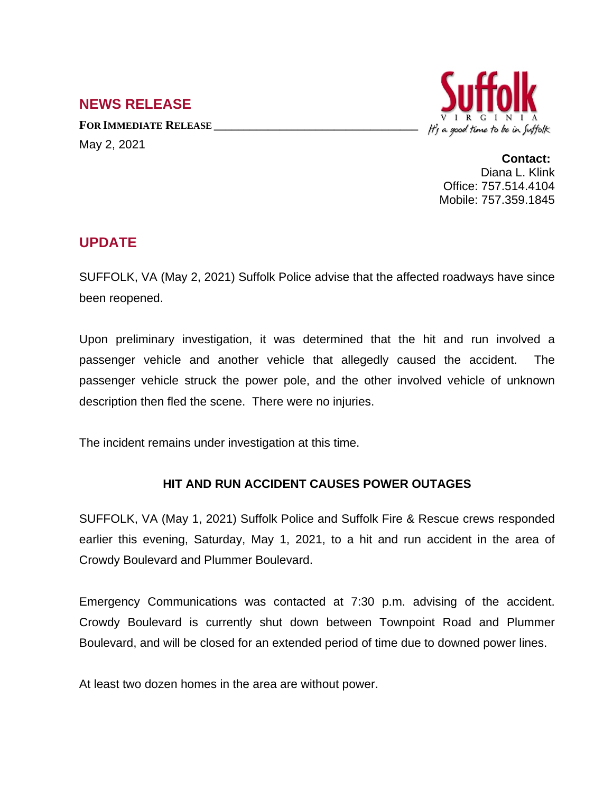## **NEWS RELEASE**

**FOR IMMEDIATE RELEASE \_\_\_\_\_\_\_\_\_\_\_\_\_\_\_\_\_\_\_\_\_\_\_\_\_\_\_\_\_\_\_\_\_\_** May 2, 2021



**Contact:** Diana L. Klink Office: 757.514.4104 Mobile: 757.359.1845

## **UPDATE**

SUFFOLK, VA (May 2, 2021) Suffolk Police advise that the affected roadways have since been reopened.

Upon preliminary investigation, it was determined that the hit and run involved a passenger vehicle and another vehicle that allegedly caused the accident. The passenger vehicle struck the power pole, and the other involved vehicle of unknown description then fled the scene. There were no injuries.

The incident remains under investigation at this time.

## **HIT AND RUN ACCIDENT CAUSES POWER OUTAGES**

SUFFOLK, VA (May 1, 2021) Suffolk Police and Suffolk Fire & Rescue crews responded earlier this evening, Saturday, May 1, 2021, to a hit and run accident in the area of Crowdy Boulevard and Plummer Boulevard.

Emergency Communications was contacted at 7:30 p.m. advising of the accident. Crowdy Boulevard is currently shut down between Townpoint Road and Plummer Boulevard, and will be closed for an extended period of time due to downed power lines.

At least two dozen homes in the area are without power.